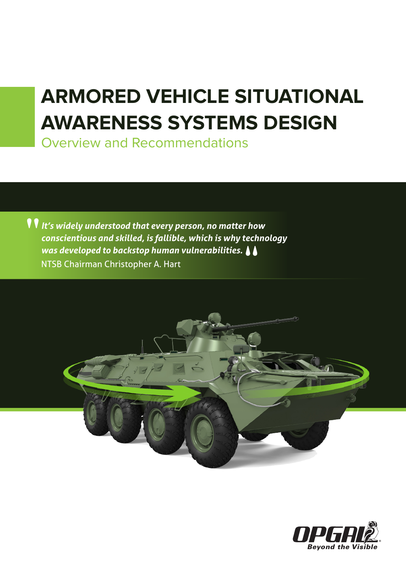# **ARMORED VEHICLE SITUATIONAL AWARENESS SYSTEMS DESIGN**

Overview and Recommendations

*It's widely understood that every person, no matter how conscientious and skilled, is fallible, which is why technology*  was developed to backstop human vulnerabilities.  $\blacklozenge$ NTSB Chairman Christopher A. Hart **"**



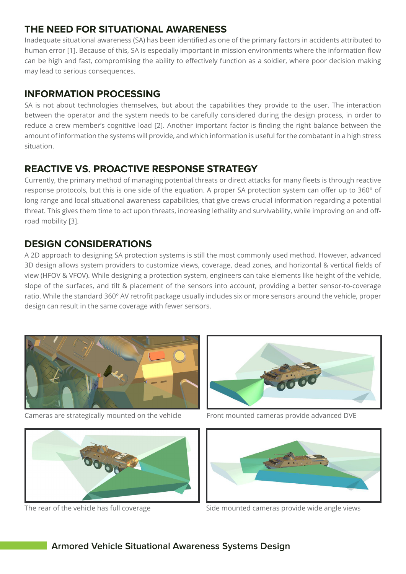## **THE NEED FOR SITUATIONAL AWARENESS**

Inadequate situational awareness (SA) has been identified as one of the primary factors in accidents attributed to human error [1]. Because of this, SA is especially important in mission environments where the information flow can be high and fast, compromising the ability to effectively function as a soldier, where poor decision making may lead to serious consequences.

## **INFORMATION PROCESSING**

SA is not about technologies themselves, but about the capabilities they provide to the user. The interaction between the operator and the system needs to be carefully considered during the design process, in order to reduce a crew member's cognitive load [2]. Another important factor is finding the right balance between the amount of information the systems will provide, and which information is useful for the combatant in a high stress situation.

## **REACTIVE VS. PROACTIVE RESPONSE STRATEGY**

Currently, the primary method of managing potential threats or direct attacks for many fleets is through reactive response protocols, but this is one side of the equation. A proper SA protection system can offer up to 360° of long range and local situational awareness capabilities, that give crews crucial information regarding a potential threat. This gives them time to act upon threats, increasing lethality and survivability, while improving on and offroad mobility [3].

## **DESIGN CONSIDERATIONS**

A 2D approach to designing SA protection systems is still the most commonly used method. However, advanced 3D design allows system providers to customize views, coverage, dead zones, and horizontal & vertical fields of view (HFOV & VFOV). While designing a protection system, engineers can take elements like height of the vehicle, slope of the surfaces, and tilt & placement of the sensors into account, providing a better sensor-to-coverage ratio. While the standard 360° AV retrofit package usually includes six or more sensors around the vehicle, proper design can result in the same coverage with fewer sensors.



Cameras are strategically mounted on the vehicle Front mounted cameras provide advanced DVE







The rear of the vehicle has full coverage Side mounted cameras provide wide angle views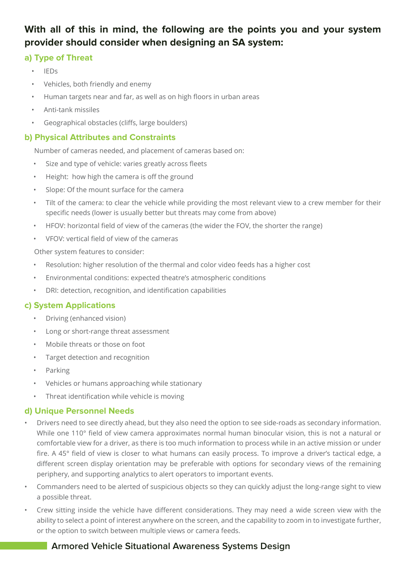## **With all of this in mind, the following are the points you and your system provider should consider when designing an SA system:**

#### **a) Type of Threat**

- IEDs
- Vehicles, both friendly and enemy
- Human targets near and far, as well as on high floors in urban areas
- Anti-tank missiles
- Geographical obstacles (cliffs, large boulders)

#### **b) Physical Attributes and Constraints**

Number of cameras needed, and placement of cameras based on:

- Size and type of vehicle: varies greatly across fleets
- Height: how high the camera is off the ground
- Slope: Of the mount surface for the camera
- Tilt of the camera: to clear the vehicle while providing the most relevant view to a crew member for their specific needs (lower is usually better but threats may come from above)
- HFOV: horizontal field of view of the cameras (the wider the FOV, the shorter the range)
- VFOV: vertical field of view of the cameras

Other system features to consider:

- Resolution: higher resolution of the thermal and color video feeds has a higher cost
- Environmental conditions: expected theatre's atmospheric conditions
- DRI: detection, recognition, and identification capabilities

#### **c) System Applications**

- Driving (enhanced vision)
- Long or short-range threat assessment
- Mobile threats or those on foot
- Target detection and recognition
- Parking
- Vehicles or humans approaching while stationary
- Threat identification while vehicle is moving

#### **d) Unique Personnel Needs**

- Drivers need to see directly ahead, but they also need the option to see side-roads as secondary information. While one 110° field of view camera approximates normal human binocular vision, this is not a natural or comfortable view for a driver, as there is too much information to process while in an active mission or under fire. A 45° field of view is closer to what humans can easily process. To improve a driver's tactical edge, a different screen display orientation may be preferable with options for secondary views of the remaining periphery, and supporting analytics to alert operators to important events.
- Commanders need to be alerted of suspicious objects so they can quickly adjust the long-range sight to view a possible threat.
- Crew sitting inside the vehicle have different considerations. They may need a wide screen view with the ability to select a point of interest anywhere on the screen, and the capability to zoom in to investigate further, or the option to switch between multiple views or camera feeds.

### **Armored Vehicle Situational Awareness Systems Design**